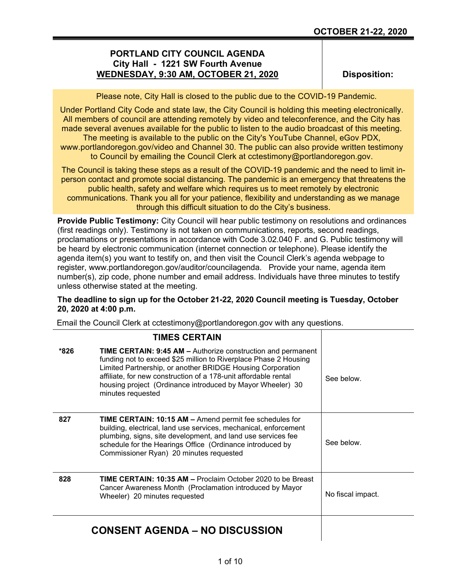# **PORTLAND CITY COUNCIL AGENDA City Hall - 1221 SW Fourth Avenue WEDNESDAY, 9:30 AM, OCTOBER 21, 2020**

**Disposition:**

Please note, City Hall is closed to the public due to the COVID-19 Pandemic.

Under Portland City Code and state law, the City Council is holding this meeting electronically. All members of council are attending remotely by video and teleconference, and the City has made several avenues available for the public to listen to the audio broadcast of this meeting.

The meeting is available to the public on the City's YouTube Channel, eGov PDX, www.portlandoregon.gov/video and Channel 30. The public can also provide written testimony to Council by emailing the Council Clerk at cctestimony@portlandoregon.gov.

The Council is taking these steps as a result of the COVID-19 pandemic and the need to limit inperson contact and promote social distancing. The pandemic is an emergency that threatens the public health, safety and welfare which requires us to meet remotely by electronic communications. Thank you all for your patience, flexibility and understanding as we manage through this difficult situation to do the City's business.

**Provide Public Testimony:** City Council will hear public testimony on resolutions and ordinances (first readings only). Testimony is not taken on communications, reports, second readings, proclamations or presentations in accordance with Code 3.02.040 F. and G. Public testimony will be heard by electronic communication (internet connection or telephone). Please identify the agenda item(s) you want to testify on, and then visit the Council Clerk's agenda webpage to register, www.portlandoregon.gov/auditor/councilagenda. Provide your name, agenda item number(s), zip code, phone number and email address. Individuals have three minutes to testify unless otherwise stated at the meeting.

# **The deadline to sign up for the October 21-22, 2020 Council meeting is Tuesday, October 20, 2020 at 4:00 p.m.**

Email the Council Clerk at cctestimony@portlandoregon.gov with any questions.

|      | <b>TIMES CERTAIN</b>                                                                                                                                                                                                                                                                                                                                        |                   |
|------|-------------------------------------------------------------------------------------------------------------------------------------------------------------------------------------------------------------------------------------------------------------------------------------------------------------------------------------------------------------|-------------------|
| *826 | <b>TIME CERTAIN: 9:45 AM - Authorize construction and permanent</b><br>funding not to exceed \$25 million to Riverplace Phase 2 Housing<br>Limited Partnership, or another BRIDGE Housing Corporation<br>affiliate, for new construction of a 178-unit affordable rental<br>housing project (Ordinance introduced by Mayor Wheeler) 30<br>minutes requested | See below         |
| 827  | <b>TIME CERTAIN: 10:15 AM - Amend permit fee schedules for</b><br>building, electrical, land use services, mechanical, enforcement<br>plumbing, signs, site development, and land use services fee<br>schedule for the Hearings Office (Ordinance introduced by<br>Commissioner Ryan) 20 minutes requested                                                  | See below.        |
| 828  | <b>TIME CERTAIN: 10:35 AM - Proclaim October 2020 to be Breast</b><br>Cancer Awareness Month (Proclamation introduced by Mayor<br>Wheeler) 20 minutes requested                                                                                                                                                                                             | No fiscal impact. |
|      | <b>CONSENT AGENDA – NO DISCUSSION</b>                                                                                                                                                                                                                                                                                                                       |                   |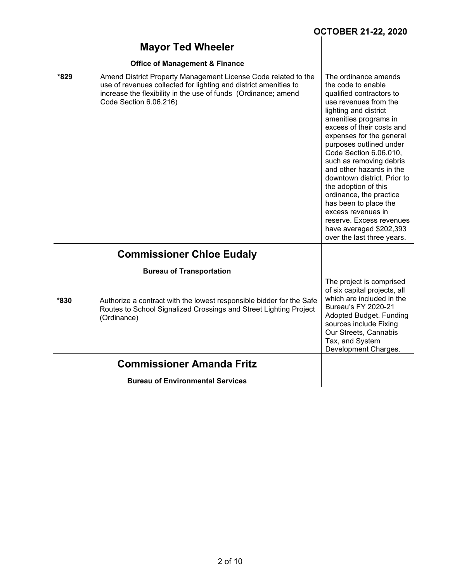| <b>Mayor Ted Wheeler</b>                                                                                                                                                                                                               |                                                                                                                                                                                                                                                                                                                                                                                                                                                                                                                                              |
|----------------------------------------------------------------------------------------------------------------------------------------------------------------------------------------------------------------------------------------|----------------------------------------------------------------------------------------------------------------------------------------------------------------------------------------------------------------------------------------------------------------------------------------------------------------------------------------------------------------------------------------------------------------------------------------------------------------------------------------------------------------------------------------------|
| <b>Office of Management &amp; Finance</b>                                                                                                                                                                                              |                                                                                                                                                                                                                                                                                                                                                                                                                                                                                                                                              |
| *829<br>Amend District Property Management License Code related to the<br>use of revenues collected for lighting and district amenities to<br>increase the flexibility in the use of funds (Ordinance; amend<br>Code Section 6.06.216) | The ordinance amends<br>the code to enable<br>qualified contractors to<br>use revenues from the<br>lighting and district<br>amenities programs in<br>excess of their costs and<br>expenses for the general<br>purposes outlined under<br>Code Section 6.06.010,<br>such as removing debris<br>and other hazards in the<br>downtown district. Prior to<br>the adoption of this<br>ordinance, the practice<br>has been to place the<br>excess revenues in<br>reserve. Excess revenues<br>have averaged \$202,393<br>over the last three years. |
| <b>Commissioner Chloe Eudaly</b>                                                                                                                                                                                                       |                                                                                                                                                                                                                                                                                                                                                                                                                                                                                                                                              |
| <b>Bureau of Transportation</b>                                                                                                                                                                                                        |                                                                                                                                                                                                                                                                                                                                                                                                                                                                                                                                              |
| *830<br>Authorize a contract with the lowest responsible bidder for the Safe<br>Routes to School Signalized Crossings and Street Lighting Project<br>(Ordinance)                                                                       | The project is comprised<br>of six capital projects, all<br>which are included in the<br><b>Bureau's FY 2020-21</b><br>Adopted Budget. Funding<br>sources include Fixing<br>Our Streets, Cannabis<br>Tax, and System<br>Development Charges.                                                                                                                                                                                                                                                                                                 |
| <b>Commissioner Amanda Fritz</b>                                                                                                                                                                                                       |                                                                                                                                                                                                                                                                                                                                                                                                                                                                                                                                              |
| <b>Bureau of Environmental Services</b>                                                                                                                                                                                                |                                                                                                                                                                                                                                                                                                                                                                                                                                                                                                                                              |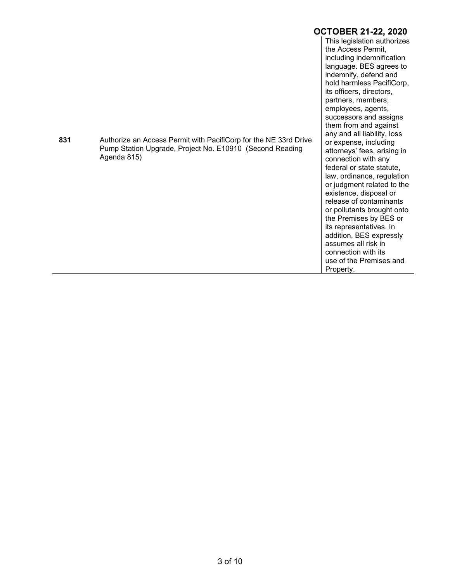|     |                                                                                                                                             | <b>OCTOBER 21-22, 2020</b>                                                                                                                                                                                                                                                                                                                                                                                                                                                                                                                                                                                     |
|-----|---------------------------------------------------------------------------------------------------------------------------------------------|----------------------------------------------------------------------------------------------------------------------------------------------------------------------------------------------------------------------------------------------------------------------------------------------------------------------------------------------------------------------------------------------------------------------------------------------------------------------------------------------------------------------------------------------------------------------------------------------------------------|
| 831 | Authorize an Access Permit with PacifiCorp for the NE 33rd Drive<br>Pump Station Upgrade, Project No. E10910 (Second Reading<br>Agenda 815) | This legislation authorizes<br>the Access Permit,<br>including indemnification<br>language. BES agrees to<br>indemnify, defend and<br>hold harmless PacifiCorp,<br>its officers, directors,<br>partners, members,<br>employees, agents,<br>successors and assigns<br>them from and against<br>any and all liability, loss<br>or expense, including<br>attorneys' fees, arising in<br>connection with any<br>federal or state statute,<br>law, ordinance, regulation<br>or judgment related to the<br>existence, disposal or<br>release of contaminants<br>or pollutants brought onto<br>the Premises by BES or |
|     |                                                                                                                                             | its representatives. In<br>addition, BES expressly<br>assumes all risk in<br>connection with its<br>use of the Premises and<br>Property.                                                                                                                                                                                                                                                                                                                                                                                                                                                                       |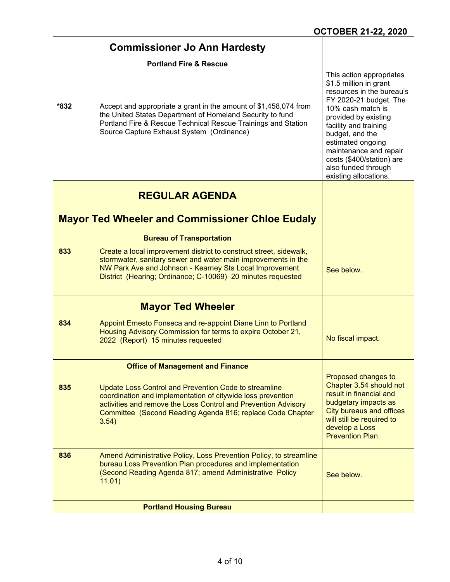|      | <b>Commissioner Jo Ann Hardesty</b>                                                                                                                                                                                                                                              |                                                                                                                                                                                                                                                                                                                                |
|------|----------------------------------------------------------------------------------------------------------------------------------------------------------------------------------------------------------------------------------------------------------------------------------|--------------------------------------------------------------------------------------------------------------------------------------------------------------------------------------------------------------------------------------------------------------------------------------------------------------------------------|
| *832 | <b>Portland Fire &amp; Rescue</b><br>Accept and appropriate a grant in the amount of \$1,458,074 from<br>the United States Department of Homeland Security to fund<br>Portland Fire & Rescue Technical Rescue Trainings and Station<br>Source Capture Exhaust System (Ordinance) | This action appropriates<br>\$1.5 million in grant<br>resources in the bureau's<br>FY 2020-21 budget. The<br>10% cash match is<br>provided by existing<br>facility and training<br>budget, and the<br>estimated ongoing<br>maintenance and repair<br>costs (\$400/station) are<br>also funded through<br>existing allocations. |
|      | <b>REGULAR AGENDA</b>                                                                                                                                                                                                                                                            |                                                                                                                                                                                                                                                                                                                                |
|      | <b>Mayor Ted Wheeler and Commissioner Chloe Eudaly</b>                                                                                                                                                                                                                           |                                                                                                                                                                                                                                                                                                                                |
|      | <b>Bureau of Transportation</b>                                                                                                                                                                                                                                                  |                                                                                                                                                                                                                                                                                                                                |
| 833  | Create a local improvement district to construct street, sidewalk,<br>stormwater, sanitary sewer and water main improvements in the<br>NW Park Ave and Johnson - Kearney Sts Local Improvement<br>District (Hearing; Ordinance; C-10069) 20 minutes requested                    | See below.                                                                                                                                                                                                                                                                                                                     |
|      | <b>Mayor Ted Wheeler</b>                                                                                                                                                                                                                                                         |                                                                                                                                                                                                                                                                                                                                |
| 834  | Appoint Ernesto Fonseca and re-appoint Diane Linn to Portland<br>Housing Advisory Commission for terms to expire October 21,<br>2022 (Report) 15 minutes requested                                                                                                               | No fiscal impact.                                                                                                                                                                                                                                                                                                              |
|      | <b>Office of Management and Finance</b>                                                                                                                                                                                                                                          |                                                                                                                                                                                                                                                                                                                                |
| 835  | Update Loss Control and Prevention Code to streamline<br>coordination and implementation of citywide loss prevention<br>activities and remove the Loss Control and Prevention Advisory<br>Committee (Second Reading Agenda 816; replace Code Chapter<br>3.54)                    | Proposed changes to<br>Chapter 3.54 should not<br>result in financial and<br>budgetary impacts as<br><b>City bureaus and offices</b><br>will still be required to<br>develop a Loss<br><b>Prevention Plan.</b>                                                                                                                 |
| 836  | Amend Administrative Policy, Loss Prevention Policy, to streamline<br>bureau Loss Prevention Plan procedures and implementation<br>(Second Reading Agenda 817; amend Administrative Policy<br>11.01)                                                                             | See below.                                                                                                                                                                                                                                                                                                                     |
|      | <b>Portland Housing Bureau</b>                                                                                                                                                                                                                                                   |                                                                                                                                                                                                                                                                                                                                |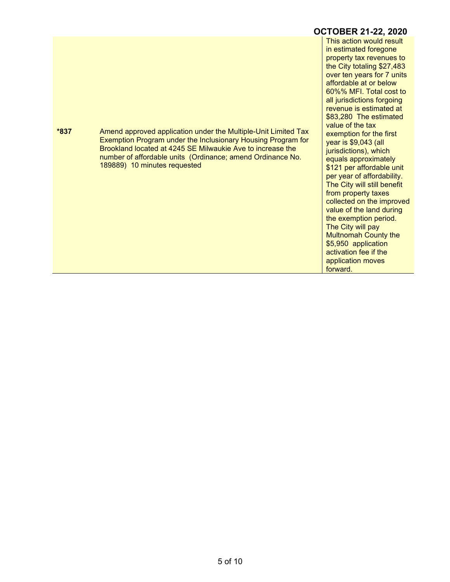**\*837** Amend approved application under the Multiple-Unit Limited Tax Exemption Program under the Inclusionary Housing Program for Brookland located at 4245 SE Milwaukie Ave to increase the number of affordable units (Ordinance; amend Ordinance No. 189889) 10 minutes requested

**OCTOBER 21-22, 2020** This action would result in estimated foregone property tax revenues to the City totaling \$27,483 over ten years for 7 units affordable at or below 60%% MFI. Total cost to all jurisdictions forgoing revenue is estimated at \$83,280 The estimated value of the tax exemption for the first year is \$9,043 (all jurisdictions), which equals approximately \$121 per affordable unit per year of affordability. The City will still benefit from property taxes collected on the improved value of the land during the exemption period. The City will pay Multnomah County the \$5,950 application activation fee if the application moves forward.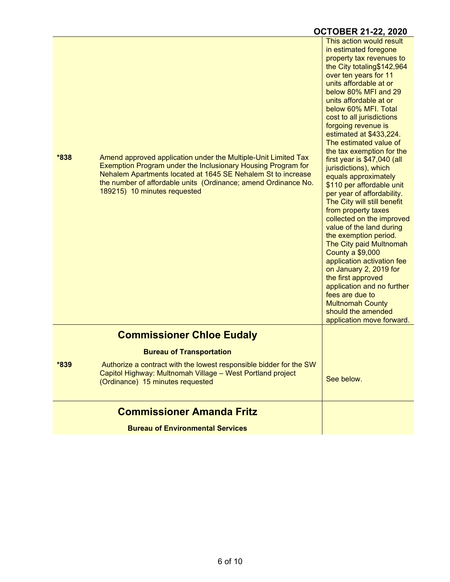|      |                                                                                                                                                                                                                                                                                                  | <b>OCTOBER 21-22, 2020</b>                                                                                                                                                                                                                                                                                                                                                                                                                                                                                                                                                                                                                                                                                                                                                                                                                                                                                                           |
|------|--------------------------------------------------------------------------------------------------------------------------------------------------------------------------------------------------------------------------------------------------------------------------------------------------|--------------------------------------------------------------------------------------------------------------------------------------------------------------------------------------------------------------------------------------------------------------------------------------------------------------------------------------------------------------------------------------------------------------------------------------------------------------------------------------------------------------------------------------------------------------------------------------------------------------------------------------------------------------------------------------------------------------------------------------------------------------------------------------------------------------------------------------------------------------------------------------------------------------------------------------|
| *838 | Amend approved application under the Multiple-Unit Limited Tax<br>Exemption Program under the Inclusionary Housing Program for<br>Nehalem Apartments located at 1645 SE Nehalem St to increase<br>the number of affordable units (Ordinance; amend Ordinance No.<br>189215) 10 minutes requested | This action would result<br>in estimated foregone<br>property tax revenues to<br>the City totaling\$142,964<br>over ten years for 11<br>units affordable at or<br>below 80% MFI and 29<br>units affordable at or<br>below 60% MFI. Total<br>cost to all jurisdictions<br>forgoing revenue is<br>estimated at \$433,224.<br>The estimated value of<br>the tax exemption for the<br>first year is \$47,040 (all<br>jurisdictions), which<br>equals approximately<br>\$110 per affordable unit<br>per year of affordability.<br>The City will still benefit<br>from property taxes<br>collected on the improved<br>value of the land during<br>the exemption period.<br>The City paid Multnomah<br><b>County a \$9,000</b><br>application activation fee<br>on January 2, 2019 for<br>the first approved<br>application and no further<br>fees are due to<br><b>Multnomah County</b><br>should the amended<br>application move forward. |
|      | <b>Commissioner Chloe Eudaly</b>                                                                                                                                                                                                                                                                 |                                                                                                                                                                                                                                                                                                                                                                                                                                                                                                                                                                                                                                                                                                                                                                                                                                                                                                                                      |
|      | <b>Bureau of Transportation</b>                                                                                                                                                                                                                                                                  |                                                                                                                                                                                                                                                                                                                                                                                                                                                                                                                                                                                                                                                                                                                                                                                                                                                                                                                                      |
| *839 | Authorize a contract with the lowest responsible bidder for the SW<br>Capitol Highway: Multnomah Village - West Portland project<br>(Ordinance) 15 minutes requested                                                                                                                             | See below.                                                                                                                                                                                                                                                                                                                                                                                                                                                                                                                                                                                                                                                                                                                                                                                                                                                                                                                           |
|      | <b>Commissioner Amanda Fritz</b>                                                                                                                                                                                                                                                                 |                                                                                                                                                                                                                                                                                                                                                                                                                                                                                                                                                                                                                                                                                                                                                                                                                                                                                                                                      |
|      | <b>Bureau of Environmental Services</b>                                                                                                                                                                                                                                                          |                                                                                                                                                                                                                                                                                                                                                                                                                                                                                                                                                                                                                                                                                                                                                                                                                                                                                                                                      |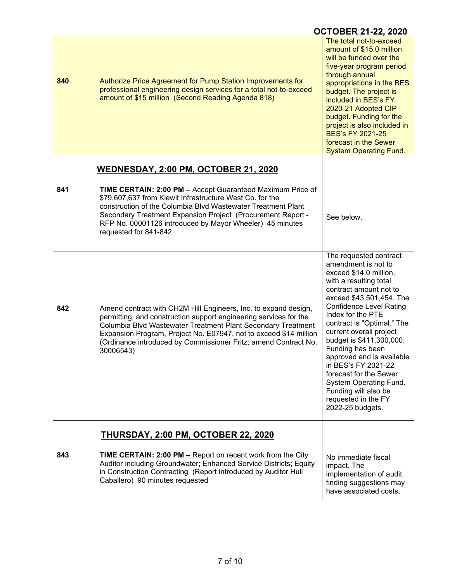|     |                                                                                                                                                                                                                                                                                                                                                                                           | <b>OCTOBER 21-22, 2020</b>                                                                                                                                                                                                                                                                                                                                                                                                                                                                         |
|-----|-------------------------------------------------------------------------------------------------------------------------------------------------------------------------------------------------------------------------------------------------------------------------------------------------------------------------------------------------------------------------------------------|----------------------------------------------------------------------------------------------------------------------------------------------------------------------------------------------------------------------------------------------------------------------------------------------------------------------------------------------------------------------------------------------------------------------------------------------------------------------------------------------------|
| 840 | Authorize Price Agreement for Pump Station Improvements for<br>professional engineering design services for a total not-to-exceed<br>amount of \$15 million (Second Reading Agenda 818)                                                                                                                                                                                                   | The total not-to-exceed<br>amount of \$15.0 million<br>will be funded over the<br>five-year program period<br>through annual<br>appropriations in the BES<br>budget. The project is<br>included in BES's FY<br>2020-21 Adopted CIP<br>budget. Funding for the<br>project is also included in<br><b>BES's FY 2021-25</b><br>forecast in the Sewer<br><b>System Operating Fund.</b>                                                                                                                  |
|     |                                                                                                                                                                                                                                                                                                                                                                                           |                                                                                                                                                                                                                                                                                                                                                                                                                                                                                                    |
| 841 | <u>WEDNESDAY, 2:00 PM, OCTOBER 21, 2020</u><br>TIME CERTAIN: 2:00 PM - Accept Guaranteed Maximum Price of<br>\$79,607,637 from Kiewit Infrastructure West Co. for the<br>construction of the Columbia Blvd Wastewater Treatment Plant<br>Secondary Treatment Expansion Project (Procurement Report -<br>RFP No. 00001126 introduced by Mayor Wheeler) 45 minutes<br>requested for 841-842 | See below.                                                                                                                                                                                                                                                                                                                                                                                                                                                                                         |
| 842 | Amend contract with CH2M Hill Engineers, Inc. to expand design,<br>permitting, and construction support engineering services for the<br>Columbia Blvd Wastewater Treatment Plant Secondary Treatment<br>Expansion Program, Project No. E07947, not to exceed \$14 million<br>(Ordinance introduced by Commissioner Fritz; amend Contract No.<br>30006543)                                 | The requested contract<br>amendment is not to<br>exceed \$14.0 million,<br>with a resulting total<br>contract amount not to<br>exceed \$43,501,454. The<br><b>Confidence Level Rating</b><br>Index for the PTE<br>contract is "Optimal." The<br>current overall project<br>budget is \$411,300,000.<br>Funding has been<br>approved and is available<br>in BES's FY 2021-22<br>forecast for the Sewer<br>System Operating Fund.<br>Funding will also be<br>requested in the FY<br>2022-25 budgets. |
|     | <b>THURSDAY, 2:00 PM, OCTOBER 22, 2020</b>                                                                                                                                                                                                                                                                                                                                                |                                                                                                                                                                                                                                                                                                                                                                                                                                                                                                    |
| 843 | <b>TIME CERTAIN: 2:00 PM - Report on recent work from the City</b><br>Auditor including Groundwater; Enhanced Service Districts; Equity<br>in Construction Contracting (Report introduced by Auditor Hull<br>Caballero) 90 minutes requested                                                                                                                                              | No immediate fiscal<br>impact. The<br>implementation of audit<br>finding suggestions may<br>have associated costs.                                                                                                                                                                                                                                                                                                                                                                                 |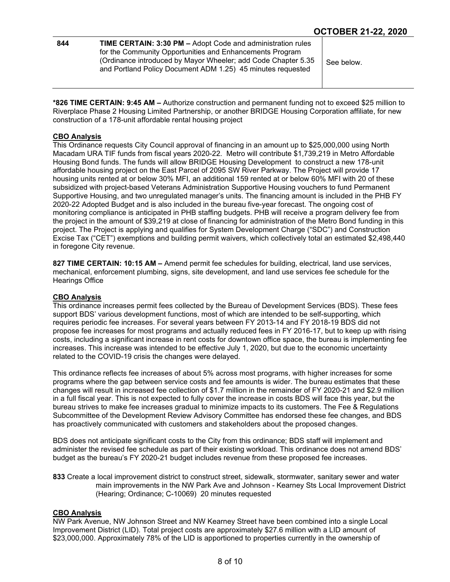| 844 | <b>TIME CERTAIN: 3:30 PM - Adopt Code and administration rules</b>                                                                                                                       |            |
|-----|------------------------------------------------------------------------------------------------------------------------------------------------------------------------------------------|------------|
|     | for the Community Opportunities and Enhancements Program<br>(Ordinance introduced by Mayor Wheeler; add Code Chapter 5.35<br>and Portland Policy Document ADM 1.25) 45 minutes requested | See below. |

**\*826 TIME CERTAIN: 9:45 AM –** Authorize construction and permanent funding not to exceed \$25 million to Riverplace Phase 2 Housing Limited Partnership, or another BRIDGE Housing Corporation affiliate, for new construction of a 178-unit affordable rental housing project

#### **CBO Analysis**

This Ordinance requests City Council approval of financing in an amount up to \$25,000,000 using North Macadam URA TIF funds from fiscal years 2020-22. Metro will contribute \$1,739,219 in Metro Affordable Housing Bond funds. The funds will allow BRIDGE Housing Development to construct a new 178-unit affordable housing project on the East Parcel of 2095 SW River Parkway. The Project will provide 17 housing units rented at or below 30% MFI, an additional 159 rented at or below 60% MFI with 20 of these subsidized with project-based Veterans Administration Supportive Housing vouchers to fund Permanent Supportive Housing, and two unregulated manager's units. The financing amount is included in the PHB FY 2020-22 Adopted Budget and is also included in the bureau five-year forecast. The ongoing cost of monitoring compliance is anticipated in PHB staffing budgets. PHB will receive a program delivery fee from the project in the amount of \$39,219 at close of financing for administration of the Metro Bond funding in this project. The Project is applying and qualifies for System Development Charge ("SDC") and Construction Excise Tax ("CET") exemptions and building permit waivers, which collectively total an estimated \$2,498,440 in foregone City revenue.

**827 TIME CERTAIN: 10:15 AM –** Amend permit fee schedules for building, electrical, land use services, mechanical, enforcement plumbing, signs, site development, and land use services fee schedule for the Hearings Office

#### **CBO Analysis**

This ordinance increases permit fees collected by the Bureau of Development Services (BDS). These fees support BDS' various development functions, most of which are intended to be self-supporting, which requires periodic fee increases. For several years between FY 2013-14 and FY 2018-19 BDS did not propose fee increases for most programs and actually reduced fees in FY 2016-17, but to keep up with rising costs, including a significant increase in rent costs for downtown office space, the bureau is implementing fee increases. This increase was intended to be effective July 1, 2020, but due to the economic uncertainty related to the COVID-19 crisis the changes were delayed.

This ordinance reflects fee increases of about 5% across most programs, with higher increases for some programs where the gap between service costs and fee amounts is wider. The bureau estimates that these changes will result in increased fee collection of \$1.7 million in the remainder of FY 2020-21 and \$2.9 million in a full fiscal year. This is not expected to fully cover the increase in costs BDS will face this year, but the bureau strives to make fee increases gradual to minimize impacts to its customers. The Fee & Regulations Subcommittee of the Development Review Advisory Committee has endorsed these fee changes, and BDS has proactively communicated with customers and stakeholders about the proposed changes.

BDS does not anticipate significant costs to the City from this ordinance; BDS staff will implement and administer the revised fee schedule as part of their existing workload. This ordinance does not amend BDS' budget as the bureau's FY 2020-21 budget includes revenue from these proposed fee increases.

**833** Create a local improvement district to construct street, sidewalk, stormwater, sanitary sewer and water main improvements in the NW Park Ave and Johnson - Kearney Sts Local Improvement District (Hearing; Ordinance; C-10069) 20 minutes requested

### **CBO Analysis**

NW Park Avenue, NW Johnson Street and NW Kearney Street have been combined into a single Local Improvement District (LID). Total project costs are approximately \$27.6 million with a LID amount of \$23,000,000. Approximately 78% of the LID is apportioned to properties currently in the ownership of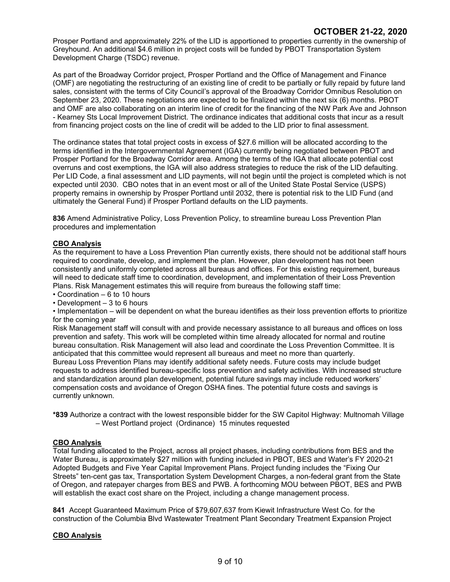Prosper Portland and approximately 22% of the LID is apportioned to properties currently in the ownership of Greyhound. An additional \$4.6 million in project costs will be funded by PBOT Transportation System Development Charge (TSDC) revenue.

As part of the Broadway Corridor project, Prosper Portland and the Office of Management and Finance (OMF) are negotiating the restructuring of an existing line of credit to be partially or fully repaid by future land sales, consistent with the terms of City Council's approval of the Broadway Corridor Omnibus Resolution on September 23, 2020. These negotiations are expected to be finalized within the next six (6) months. PBOT and OMF are also collaborating on an interim line of credit for the financing of the NW Park Ave and Johnson - Kearney Sts Local Improvement District. The ordinance indicates that additional costs that incur as a result from financing project costs on the line of credit will be added to the LID prior to final assessment.

The ordinance states that total project costs in excess of \$27.6 million will be allocated according to the terms identified in the Intergovernmental Agreement (IGA) currently being negotiated between PBOT and Prosper Portland for the Broadway Corridor area. Among the terms of the IGA that allocate potential cost overruns and cost exemptions, the IGA will also address strategies to reduce the risk of the LID defaulting. Per LID Code, a final assessment and LID payments, will not begin until the project is completed which is not expected until 2030. CBO notes that in an event most or all of the United State Postal Service (USPS) property remains in ownership by Prosper Portland until 2032, there is potential risk to the LID Fund (and ultimately the General Fund) if Prosper Portland defaults on the LID payments.

**836** Amend Administrative Policy, Loss Prevention Policy, to streamline bureau Loss Prevention Plan procedures and implementation

## **CBO Analysis**

As the requirement to have a Loss Prevention Plan currently exists, there should not be additional staff hours required to coordinate, develop, and implement the plan. However, plan development has not been consistently and uniformly completed across all bureaus and offices. For this existing requirement, bureaus will need to dedicate staff time to coordination, development, and implementation of their Loss Prevention Plans. Risk Management estimates this will require from bureaus the following staff time:

- Coordination 6 to 10 hours
- Development 3 to 6 hours

• Implementation – will be dependent on what the bureau identifies as their loss prevention efforts to prioritize for the coming year

Risk Management staff will consult with and provide necessary assistance to all bureaus and offices on loss prevention and safety. This work will be completed within time already allocated for normal and routine bureau consultation. Risk Management will also lead and coordinate the Loss Prevention Committee. It is anticipated that this committee would represent all bureaus and meet no more than quarterly. Bureau Loss Prevention Plans may identify additional safety needs. Future costs may include budget requests to address identified bureau-specific loss prevention and safety activities. With increased structure and standardization around plan development, potential future savings may include reduced workers' compensation costs and avoidance of Oregon OSHA fines. The potential future costs and savings is currently unknown.

**\*839** Authorize a contract with the lowest responsible bidder for the SW Capitol Highway: Multnomah Village – West Portland project (Ordinance) 15 minutes requested

# **CBO Analysis**

Total funding allocated to the Project, across all project phases, including contributions from BES and the Water Bureau, is approximately \$27 million with funding included in PBOT, BES and Water's FY 2020-21 Adopted Budgets and Five Year Capital Improvement Plans. Project funding includes the "Fixing Our Streets" ten-cent gas tax, Transportation System Development Charges, a non-federal grant from the State of Oregon, and ratepayer charges from BES and PWB. A forthcoming MOU between PBOT, BES and PWB will establish the exact cost share on the Project, including a change management process.

**841** Accept Guaranteed Maximum Price of \$79,607,637 from Kiewit Infrastructure West Co. for the construction of the Columbia Blvd Wastewater Treatment Plant Secondary Treatment Expansion Project

### **CBO Analysis**